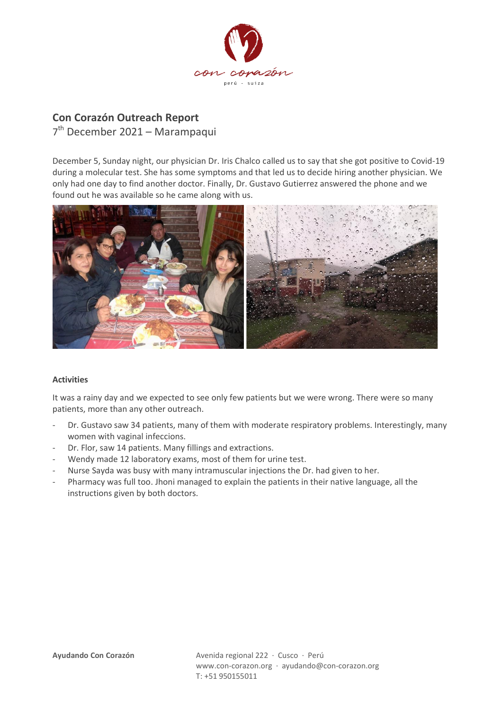

## **Con Corazón Outreach Report**

7<sup>th</sup> December 2021 - Marampaqui

December 5, Sunday night, our physician Dr. Iris Chalco called us to say that she got positive to Covid-19 during a molecular test. She has some symptoms and that led us to decide hiring another physician. We only had one day to find another doctor. Finally, Dr. Gustavo Gutierrez answered the phone and we found out he was available so he came along with us.



## **Activities**

It was a rainy day and we expected to see only few patients but we were wrong. There were so many patients, more than any other outreach.

- Dr. Gustavo saw 34 patients, many of them with moderate respiratory problems. Interestingly, many women with vaginal infeccions.
- Dr. Flor, saw 14 patients. Many fillings and extractions.
- Wendy made 12 laboratory exams, most of them for urine test.
- Nurse Sayda was busy with many intramuscular injections the Dr. had given to her.
- Pharmacy was full too. Jhoni managed to explain the patients in their native language, all the instructions given by both doctors.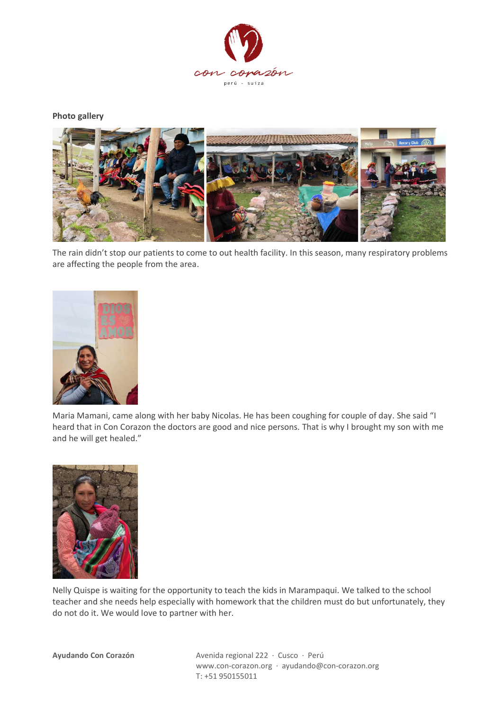

**Photo gallery**



The rain didn't stop our patients to come to out health facility. In this season, many respiratory problems are affecting the people from the area.



Maria Mamani, came along with her baby Nicolas. He has been coughing for couple of day. She said "I heard that in Con Corazon the doctors are good and nice persons. That is why I brought my son with me and he will get healed."



Nelly Quispe is waiting for the opportunity to teach the kids in Marampaqui. We talked to the school teacher and she needs help especially with homework that the children must do but unfortunately, they do not do it. We would love to partner with her.

**Ayudando Con Corazón** Avenida regional 222 · Cusco · Perú www.con-corazon.org · ayudando@con-corazon.org T: +51 950155011